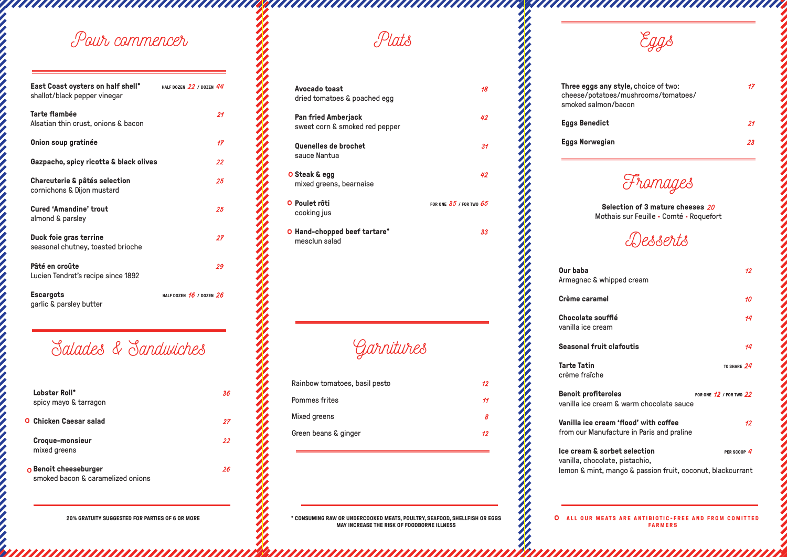**O** ALL OUR MEATS ARE ANTIBIOTIC-FREE AND FROM COMITTED **FARMERS**

# *Pour commencer Eggs*

aaaaaaaaaaaaaaaaaaaaaaaaa

**Three eggs any style,** choice of two: *17* cheese/potatoes/mushrooms/tomatoes/ smoked salmon/bacon **Eggs Benedict** *21*

aanaan waxaanaanaanaanaanaanaanaa

**Eggs Norwegian** *23*

**Our baba** Armagnac **a** 

**Crème cara** 

**Chocolate** vanilla ice c

**Seasonal fi** 

**Tarte Tatin** crème fraîc

**Benoit prof** vanilla ice c

**Vanilla ice** from our Ma

**Ice cream &** vanilla, cho lemon & min

| Avocado toast<br>dried tomatoes & poached egg                | 18                          |
|--------------------------------------------------------------|-----------------------------|
| <b>Pan fried Amberjack</b><br>sweet corn & smoked red pepper | 42                          |
| Quenelles de brochet<br>sauce Nantua                         | 31                          |
| O Steak & egg<br>mixed greens, bearnaise                     | 42                          |
| O Poulet rôti<br>cooking jus                                 | FOR ONE $35$ / FOR TWO $65$ |
| O Hand-chopped beef tartare*<br>mesclun salad                | 33                          |
|                                                              |                             |

*Garnitures*

*Plats*

*Fromages*

**Selection of 3 mature cheeses** *20* Mothais sur Feuille • Comté • Roquefort

# *Salades & Sandwiches*

| East Coast oysters on half shell*<br>shallot/black pepper vinegar | HALF DOZEN $22$ / DOZEN $44$ |
|-------------------------------------------------------------------|------------------------------|
| <b>Tarte flambée</b><br>Alsatian thin crust, onions & bacon       | 21                           |
| Onion soup gratinée                                               | 17                           |
| Gazpacho, spicy ricotta & black olives                            | 22                           |
| Charcuterie & pâtés selection<br>cornichons & Dijon mustard       | 25                           |
| <b>Cured 'Amandine' trout</b><br>almond & parsley                 | 25                           |
| Duck foie gras terrine<br>seasonal chutney, toasted brioche       | 27                           |
| Pâté en croûte<br>Lucien Tendret's recipe since 1892              | 29                           |
| <b>Escargots</b><br>garlic & parsley butter                       | HALF DOZEN $16$ / DOZEN $26$ |

| Lobster Roll*<br>spicy mayo & tarragon                     | 36 |
|------------------------------------------------------------|----|
| <b>O</b> Chicken Caesar salad                              | 27 |
| Croque-monsieur<br>mixed greens                            | 22 |
| O Benoit cheeseburger<br>smoked bacon & caramelized onions | 26 |

| Rainbow tomatoes, basil pesto | 12 |
|-------------------------------|----|
| Pommes frites                 | 11 |
| Mixed greens                  |    |
| Green beans & ginger          | 12 |

*Desserts*

| $\Omega$ whipped cream                                       | 74.                         |
|--------------------------------------------------------------|-----------------------------|
| amel                                                         | 10 <sup>°</sup>             |
| soufflé<br>ream:                                             | 14                          |
| ruit clafoutis                                               | 14                          |
| he:                                                          | TO SHARE $24$               |
| fiteroles<br>ream & warm chocolate sauce                     | FOR ONE $12$ / FOR TWO $22$ |
| cream 'flood' with coffee<br>anufacture in Paris and praline | 12                          |
| <b>&amp;</b> sorbet selection<br>colate, pistachio,          | PER SCOOP $4$               |
| nt, mango & passion fruit, coconut, blackcurrant             |                             |